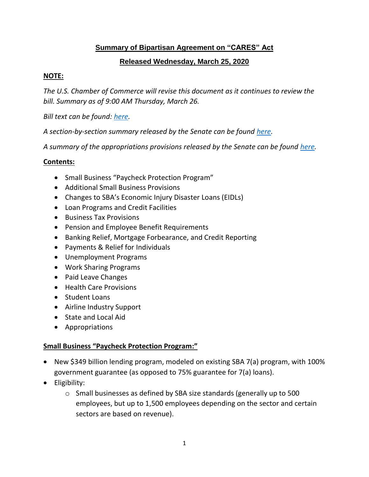# **Summary of Bipartisan Agreement on "CARES" Act**

### **Released Wednesday, March 25, 2020**

### **NOTE:**

*The U.S. Chamber of Commerce will revise this document as it continues to review the bill. Summary as of 9:00 AM Thursday, March 26.*

*Bill text can be found: here.*

*A section-by-section summary released by the Senate can be found here.*

*A summary of the appropriations provisions released by the Senate can be found here.*

### **Contents:**

- Small Business "Paycheck Protection Program"
- Additional Small Business Provisions
- Changes to SBA's Economic Injury Disaster Loans (EIDLs)
- Loan Programs and Credit Facilities
- Business Tax Provisions
- Pension and Employee Benefit Requirements
- Banking Relief, Mortgage Forbearance, and Credit Reporting
- Payments & Relief for Individuals
- Unemployment Programs
- Work Sharing Programs
- Paid Leave Changes
- Health Care Provisions
- Student Loans
- Airline Industry Support
- State and Local Aid
- Appropriations

#### **Small Business "Paycheck Protection Program:"**

- New \$349 billion lending program, modeled on existing SBA 7(a) program, with 100% government guarantee (as opposed to 75% guarantee for 7(a) loans).
- Eligibility:
	- o Small businesses as defined by SBA size standards (generally up to 500 employees, but up to 1,500 employees depending on the sector and certain sectors are based on revenue).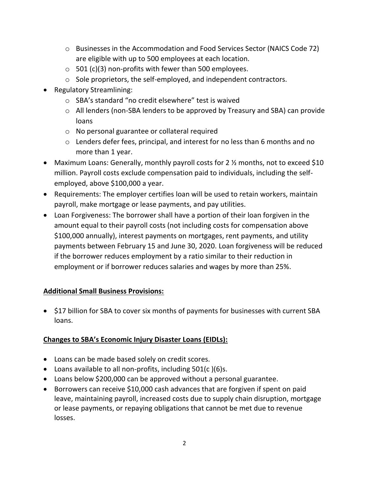- o Businesses in the Accommodation and Food Services Sector (NAICS Code 72) are eligible with up to 500 employees at each location.
- $\circ$  501 (c)(3) non-profits with fewer than 500 employees.
- o Sole proprietors, the self-employed, and independent contractors.
- Regulatory Streamlining:
	- o SBA's standard "no credit elsewhere" test is waived
	- o All lenders (non-SBA lenders to be approved by Treasury and SBA) can provide loans
	- o No personal guarantee or collateral required
	- o Lenders defer fees, principal, and interest for no less than 6 months and no more than 1 year.
- Maximum Loans: Generally, monthly payroll costs for 2 % months, not to exceed \$10 million. Payroll costs exclude compensation paid to individuals, including the selfemployed, above \$100,000 a year.
- Requirements: The employer certifies loan will be used to retain workers, maintain payroll, make mortgage or lease payments, and pay utilities.
- Loan Forgiveness: The borrower shall have a portion of their loan forgiven in the amount equal to their payroll costs (not including costs for compensation above \$100,000 annually), interest payments on mortgages, rent payments, and utility payments between February 15 and June 30, 2020. Loan forgiveness will be reduced if the borrower reduces employment by a ratio similar to their reduction in employment or if borrower reduces salaries and wages by more than 25%.

# **Additional Small Business Provisions:**

• \$17 billion for SBA to cover six months of payments for businesses with current SBA loans.

# **Changes to SBA's Economic Injury Disaster Loans (EIDLs):**

- Loans can be made based solely on credit scores.
- Loans available to all non-profits, including 501(c )(6)s.
- Loans below \$200,000 can be approved without a personal guarantee.
- Borrowers can receive \$10,000 cash advances that are forgiven if spent on paid leave, maintaining payroll, increased costs due to supply chain disruption, mortgage or lease payments, or repaying obligations that cannot be met due to revenue losses.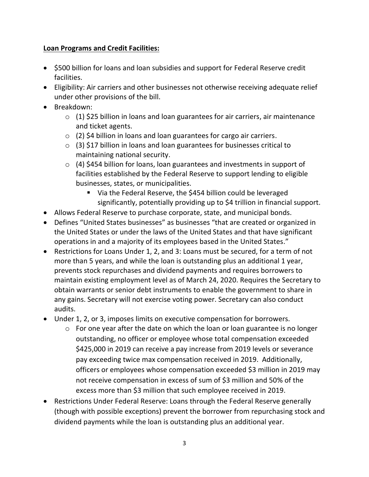## **Loan Programs and Credit Facilities:**

- \$500 billion for loans and loan subsidies and support for Federal Reserve credit facilities.
- Eligibility: Air carriers and other businesses not otherwise receiving adequate relief under other provisions of the bill.
- Breakdown:
	- $\circ$  (1) \$25 billion in loans and loan guarantees for air carriers, air maintenance and ticket agents.
	- $\circ$  (2) \$4 billion in loans and loan guarantees for cargo air carriers.
	- $\circ$  (3) \$17 billion in loans and loan guarantees for businesses critical to maintaining national security.
	- $\circ$  (4) \$454 billion for loans, loan guarantees and investments in support of facilities established by the Federal Reserve to support lending to eligible businesses, states, or municipalities.
		- Via the Federal Reserve, the \$454 billion could be leveraged significantly, potentially providing up to \$4 trillion in financial support.
- Allows Federal Reserve to purchase corporate, state, and municipal bonds.
- Defines "United States businesses" as businesses "that are created or organized in the United States or under the laws of the United States and that have significant operations in and a majority of its employees based in the United States."
- Restrictions for Loans Under 1, 2, and 3: Loans must be secured, for a term of not more than 5 years, and while the loan is outstanding plus an additional 1 year, prevents stock repurchases and dividend payments and requires borrowers to maintain existing employment level as of March 24, 2020. Requires the Secretary to obtain warrants or senior debt instruments to enable the government to share in any gains. Secretary will not exercise voting power. Secretary can also conduct audits.
- Under 1, 2, or 3, imposes limits on executive compensation for borrowers.
	- o For one year after the date on which the loan or loan guarantee is no longer outstanding, no officer or employee whose total compensation exceeded \$425,000 in 2019 can receive a pay increase from 2019 levels or severance pay exceeding twice max compensation received in 2019. Additionally, officers or employees whose compensation exceeded \$3 million in 2019 may not receive compensation in excess of sum of \$3 million and 50% of the excess more than \$3 million that such employee received in 2019.
- Restrictions Under Federal Reserve: Loans through the Federal Reserve generally (though with possible exceptions) prevent the borrower from repurchasing stock and dividend payments while the loan is outstanding plus an additional year.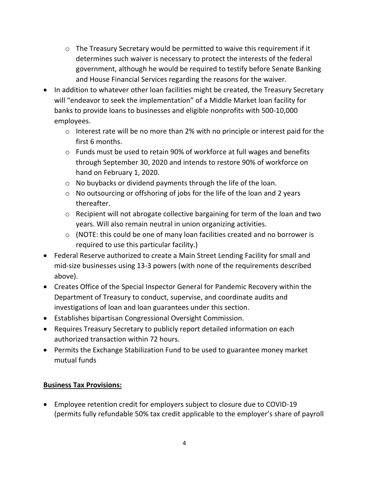- o The Treasury Secretary would be permitted to waive this requirement if it determines such waiver is necessary to protect the interests of the federal government, although he would be required to testify before Senate Banking and House Financial Services regarding the reasons for the waiver.
- In addition to whatever other loan facilities might be created, the Treasury Secretary will "endeavor to seek the implementation" of a Middle Market loan facility for banks to provide loans to businesses and eligible nonprofits with 500-10,000 employees.
	- o Interest rate will be no more than 2% with no principle or interest paid for the first 6 months.
	- o Funds must be used to retain 90% of workforce at full wages and benefits through September 30, 2020 and intends to restore 90% of workforce on hand on February 1, 2020.
	- o No buybacks or dividend payments through the life of the loan.
	- o No outsourcing or offshoring of jobs for the life of the loan and 2 years thereafter.
	- o Recipient will not abrogate collective bargaining for term of the loan and two years. Will also remain neutral in union organizing activities.
	- $\circ$  (NOTE: this could be one of many loan facilities created and no borrower is required to use this particular facility.)
- Federal Reserve authorized to create a Main Street Lending Facility for small and mid-size businesses using 13-3 powers (with none of the requirements described above).
- Creates Office of the Special Inspector General for Pandemic Recovery within the Department of Treasury to conduct, supervise, and coordinate audits and investigations of loan and loan guarantees under this section.
- Establishes bipartisan Congressional Oversight Commission.
- Requires Treasury Secretary to publicly report detailed information on each authorized transaction within 72 hours.
- Permits the Exchange Stabilization Fund to be used to guarantee money market mutual funds

# **Business Tax Provisions:**

• Employee retention credit for employers subject to closure due to COVID-19 (permits fully refundable 50% tax credit applicable to the employer's share of payroll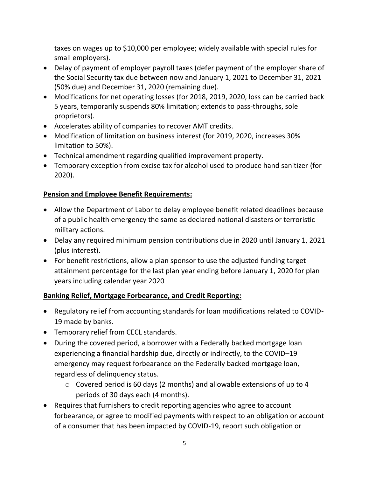taxes on wages up to \$10,000 per employee; widely available with special rules for small employers).

- Delay of payment of employer payroll taxes (defer payment of the employer share of the Social Security tax due between now and January 1, 2021 to December 31, 2021 (50% due) and December 31, 2020 (remaining due).
- Modifications for net operating losses (for 2018, 2019, 2020, loss can be carried back 5 years, temporarily suspends 80% limitation; extends to pass-throughs, sole proprietors).
- Accelerates ability of companies to recover AMT credits.
- Modification of limitation on business interest (for 2019, 2020, increases 30% limitation to 50%).
- Technical amendment regarding qualified improvement property.
- Temporary exception from excise tax for alcohol used to produce hand sanitizer (for 2020).

# **Pension and Employee Benefit Requirements:**

- Allow the Department of Labor to delay employee benefit related deadlines because of a public health emergency the same as declared national disasters or terroristic military actions.
- Delay any required minimum pension contributions due in 2020 until January 1, 2021 (plus interest).
- For benefit restrictions, allow a plan sponsor to use the adjusted funding target attainment percentage for the last plan year ending before January 1, 2020 for plan years including calendar year 2020

# **Banking Relief, Mortgage Forbearance, and Credit Reporting:**

- Regulatory relief from accounting standards for loan modifications related to COVID-19 made by banks.
- Temporary relief from CECL standards.
- During the covered period, a borrower with a Federally backed mortgage loan experiencing a financial hardship due, directly or indirectly, to the COVID–19 emergency may request forbearance on the Federally backed mortgage loan, regardless of delinquency status.
	- o Covered period is 60 days (2 months) and allowable extensions of up to 4 periods of 30 days each (4 months).
- Requires that furnishers to credit reporting agencies who agree to account forbearance, or agree to modified payments with respect to an obligation or account of a consumer that has been impacted by COVID-19, report such obligation or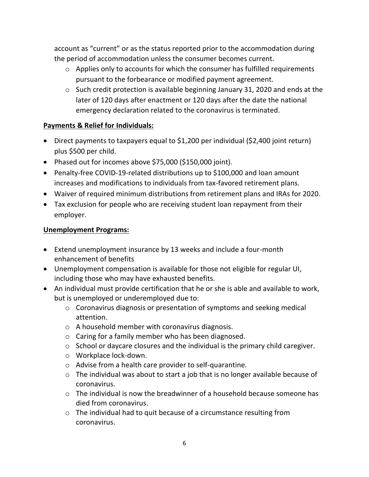account as "current" or as the status reported prior to the accommodation during the period of accommodation unless the consumer becomes current.

- o Applies only to accounts for which the consumer has fulfilled requirements pursuant to the forbearance or modified payment agreement.
- o Such credit protection is available beginning January 31, 2020 and ends at the later of 120 days after enactment or 120 days after the date the national emergency declaration related to the coronavirus is terminated.

## **Payments & Relief for Individuals:**

- Direct payments to taxpayers equal to \$1,200 per individual (\$2,400 joint return) plus \$500 per child.
- Phased out for incomes above \$75,000 (\$150,000 joint).
- Penalty-free COVID-19-related distributions up to \$100,000 and loan amount increases and modifications to individuals from tax-favored retirement plans.
- Waiver of required minimum distributions from retirement plans and IRAs for 2020.
- Tax exclusion for people who are receiving student loan repayment from their employer.

### **Unemployment Programs:**

- Extend unemployment insurance by 13 weeks and include a four-month enhancement of benefits
- Unemployment compensation is available for those not eligible for regular UI, including those who may have exhausted benefits.
- An individual must provide certification that he or she is able and available to work, but is unemployed or underemployed due to:
	- o Coronavirus diagnosis or presentation of symptoms and seeking medical attention.
	- o A household member with coronavirus diagnosis.
	- o Caring for a family member who has been diagnosed.
	- o School or daycare closures and the individual is the primary child caregiver.
	- o Workplace lock-down.
	- o Advise from a health care provider to self-quarantine.
	- $\circ$  The individual was about to start a job that is no longer available because of coronavirus.
	- $\circ$  The individual is now the breadwinner of a household because someone has died from coronavirus.
	- o The individual had to quit because of a circumstance resulting from coronavirus.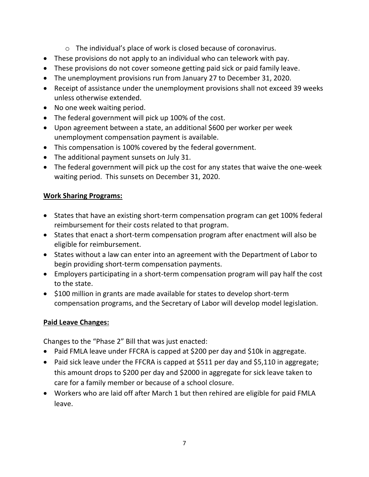- o The individual's place of work is closed because of coronavirus.
- These provisions do not apply to an individual who can telework with pay.
- These provisions do not cover someone getting paid sick or paid family leave.
- The unemployment provisions run from January 27 to December 31, 2020.
- Receipt of assistance under the unemployment provisions shall not exceed 39 weeks unless otherwise extended.
- No one week waiting period.
- The federal government will pick up 100% of the cost.
- Upon agreement between a state, an additional \$600 per worker per week unemployment compensation payment is available.
- This compensation is 100% covered by the federal government.
- The additional payment sunsets on July 31.
- The federal government will pick up the cost for any states that waive the one-week waiting period. This sunsets on December 31, 2020.

# **Work Sharing Programs:**

- States that have an existing short-term compensation program can get 100% federal reimbursement for their costs related to that program.
- States that enact a short-term compensation program after enactment will also be eligible for reimbursement.
- States without a law can enter into an agreement with the Department of Labor to begin providing short-term compensation payments.
- Employers participating in a short-term compensation program will pay half the cost to the state.
- \$100 million in grants are made available for states to develop short-term compensation programs, and the Secretary of Labor will develop model legislation.

# **Paid Leave Changes:**

Changes to the "Phase 2" Bill that was just enacted:

- Paid FMLA leave under FFCRA is capped at \$200 per day and \$10k in aggregate.
- Paid sick leave under the FFCRA is capped at \$511 per day and \$5,110 in aggregate; this amount drops to \$200 per day and \$2000 in aggregate for sick leave taken to care for a family member or because of a school closure.
- Workers who are laid off after March 1 but then rehired are eligible for paid FMLA leave.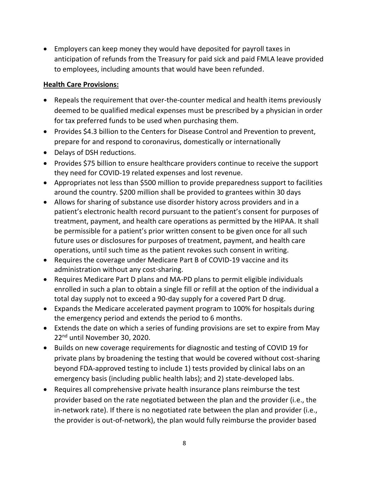• Employers can keep money they would have deposited for payroll taxes in anticipation of refunds from the Treasury for paid sick and paid FMLA leave provided to employees, including amounts that would have been refunded.

### **Health Care Provisions:**

- Repeals the requirement that over-the-counter medical and health items previously deemed to be qualified medical expenses must be prescribed by a physician in order for tax preferred funds to be used when purchasing them.
- Provides \$4.3 billion to the Centers for Disease Control and Prevention to prevent, prepare for and respond to coronavirus, domestically or internationally
- Delays of DSH reductions.
- Provides \$75 billion to ensure healthcare providers continue to receive the support they need for COVID-19 related expenses and lost revenue.
- Appropriates not less than \$500 million to provide preparedness support to facilities around the country. \$200 million shall be provided to grantees within 30 days
- Allows for sharing of substance use disorder history across providers and in a patient's electronic health record pursuant to the patient's consent for purposes of treatment, payment, and health care operations as permitted by the HIPAA. It shall be permissible for a patient's prior written consent to be given once for all such future uses or disclosures for purposes of treatment, payment, and health care operations, until such time as the patient revokes such consent in writing.
- Requires the coverage under Medicare Part B of COVID-19 vaccine and its administration without any cost-sharing.
- Requires Medicare Part D plans and MA-PD plans to permit eligible individuals enrolled in such a plan to obtain a single fill or refill at the option of the individual a total day supply not to exceed a 90-day supply for a covered Part D drug.
- Expands the Medicare accelerated payment program to 100% for hospitals during the emergency period and extends the period to 6 months.
- Extends the date on which a series of funding provisions are set to expire from May 22nd until November 30, 2020.
- Builds on new coverage requirements for diagnostic and testing of COVID 19 for private plans by broadening the testing that would be covered without cost-sharing beyond FDA-approved testing to include 1) tests provided by clinical labs on an emergency basis (including public health labs); and 2) state-developed labs.
- Requires all comprehensive private health insurance plans reimburse the test provider based on the rate negotiated between the plan and the provider (i.e., the in-network rate). If there is no negotiated rate between the plan and provider (i.e., the provider is out-of-network), the plan would fully reimburse the provider based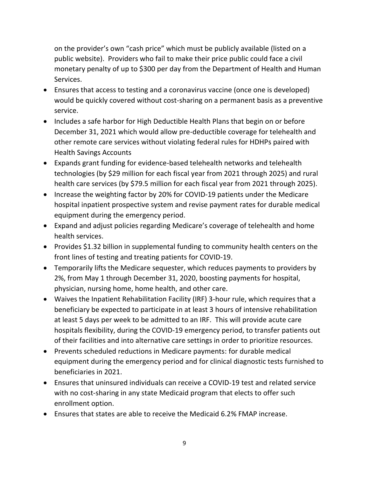on the provider's own "cash price" which must be publicly available (listed on a public website). Providers who fail to make their price public could face a civil monetary penalty of up to \$300 per day from the Department of Health and Human Services.

- Ensures that access to testing and a coronavirus vaccine (once one is developed) would be quickly covered without cost-sharing on a permanent basis as a preventive service.
- Includes a safe harbor for High Deductible Health Plans that begin on or before December 31, 2021 which would allow pre-deductible coverage for telehealth and other remote care services without violating federal rules for HDHPs paired with Health Savings Accounts
- Expands grant funding for evidence-based telehealth networks and telehealth technologies (by \$29 million for each fiscal year from 2021 through 2025) and rural health care services (by \$79.5 million for each fiscal year from 2021 through 2025).
- Increase the weighting factor by 20% for COVID-19 patients under the Medicare hospital inpatient prospective system and revise payment rates for durable medical equipment during the emergency period.
- Expand and adjust policies regarding Medicare's coverage of telehealth and home health services.
- Provides \$1.32 billion in supplemental funding to community health centers on the front lines of testing and treating patients for COVID-19.
- Temporarily lifts the Medicare sequester, which reduces payments to providers by 2%, from May 1 through December 31, 2020, boosting payments for hospital, physician, nursing home, home health, and other care.
- Waives the Inpatient Rehabilitation Facility (IRF) 3-hour rule, which requires that a beneficiary be expected to participate in at least 3 hours of intensive rehabilitation at least 5 days per week to be admitted to an IRF. This will provide acute care hospitals flexibility, during the COVID-19 emergency period, to transfer patients out of their facilities and into alternative care settings in order to prioritize resources.
- Prevents scheduled reductions in Medicare payments: for durable medical equipment during the emergency period and for clinical diagnostic tests furnished to beneficiaries in 2021.
- Ensures that uninsured individuals can receive a COVID-19 test and related service with no cost-sharing in any state Medicaid program that elects to offer such enrollment option.
- Ensures that states are able to receive the Medicaid 6.2% FMAP increase.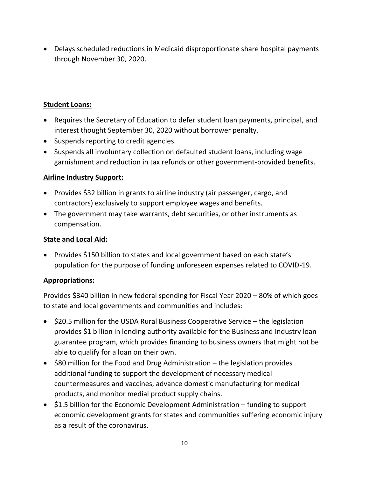• Delays scheduled reductions in Medicaid disproportionate share hospital payments through November 30, 2020.

### **Student Loans:**

- Requires the Secretary of Education to defer student loan payments, principal, and interest thought September 30, 2020 without borrower penalty.
- Suspends reporting to credit agencies.
- Suspends all involuntary collection on defaulted student loans, including wage garnishment and reduction in tax refunds or other government-provided benefits.

## **Airline Industry Support:**

- Provides \$32 billion in grants to airline industry (air passenger, cargo, and contractors) exclusively to support employee wages and benefits.
- The government may take warrants, debt securities, or other instruments as compensation.

### **State and Local Aid:**

• Provides \$150 billion to states and local government based on each state's population for the purpose of funding unforeseen expenses related to COVID-19.

### **Appropriations:**

Provides \$340 billion in new federal spending for Fiscal Year 2020 – 80% of which goes to state and local governments and communities and includes:

- \$20.5 million for the USDA Rural Business Cooperative Service the legislation provides \$1 billion in lending authority available for the Business and Industry loan guarantee program, which provides financing to business owners that might not be able to qualify for a loan on their own.
- \$80 million for the Food and Drug Administration the legislation provides additional funding to support the development of necessary medical countermeasures and vaccines, advance domestic manufacturing for medical products, and monitor medial product supply chains.
- \$1.5 billion for the Economic Development Administration funding to support economic development grants for states and communities suffering economic injury as a result of the coronavirus.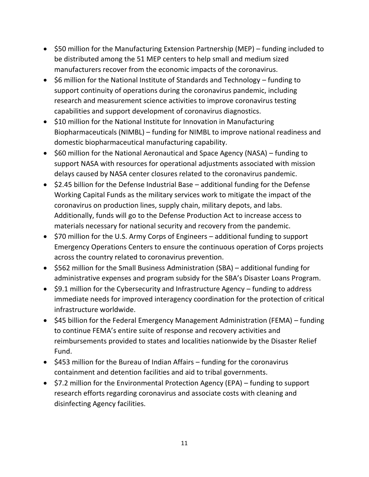- \$50 million for the Manufacturing Extension Partnership (MEP) funding included to be distributed among the 51 MEP centers to help small and medium sized manufacturers recover from the economic impacts of the coronavirus.
- \$6 million for the National Institute of Standards and Technology funding to support continuity of operations during the coronavirus pandemic, including research and measurement science activities to improve coronavirus testing capabilities and support development of coronavirus diagnostics.
- \$10 million for the National Institute for Innovation in Manufacturing Biopharmaceuticals (NIMBL) – funding for NIMBL to improve national readiness and domestic biopharmaceutical manufacturing capability.
- \$60 million for the National Aeronautical and Space Agency (NASA) funding to support NASA with resources for operational adjustments associated with mission delays caused by NASA center closures related to the coronavirus pandemic.
- \$2.45 billion for the Defense Industrial Base additional funding for the Defense Working Capital Funds as the military services work to mitigate the impact of the coronavirus on production lines, supply chain, military depots, and labs. Additionally, funds will go to the Defense Production Act to increase access to materials necessary for national security and recovery from the pandemic.
- \$70 million for the U.S. Army Corps of Engineers additional funding to support Emergency Operations Centers to ensure the continuous operation of Corps projects across the country related to coronavirus prevention.
- \$562 million for the Small Business Administration (SBA) additional funding for administrative expenses and program subsidy for the SBA's Disaster Loans Program.
- \$9.1 million for the Cybersecurity and Infrastructure Agency funding to address immediate needs for improved interagency coordination for the protection of critical infrastructure worldwide.
- \$45 billion for the Federal Emergency Management Administration (FEMA) funding to continue FEMA's entire suite of response and recovery activities and reimbursements provided to states and localities nationwide by the Disaster Relief Fund.
- \$453 million for the Bureau of Indian Affairs funding for the coronavirus containment and detention facilities and aid to tribal governments.
- \$7.2 million for the Environmental Protection Agency (EPA) funding to support research efforts regarding coronavirus and associate costs with cleaning and disinfecting Agency facilities.